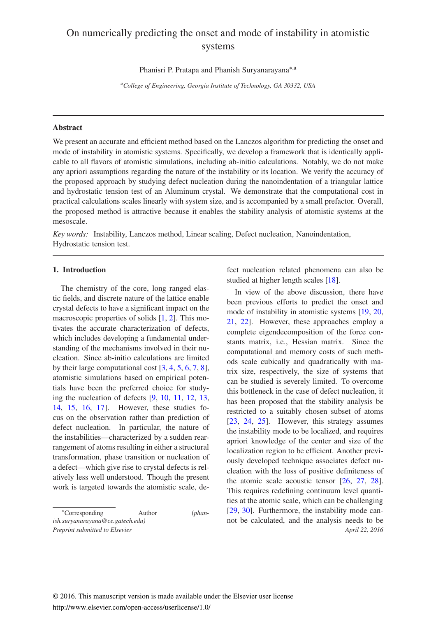# On numerically predicting the onset and mode of instability in atomistic systems

Phanisri P. Pratapa and Phanish Suryanarayana∗,a

*<sup>a</sup>College of Engineering, Georgia Institute of Technology, GA 30332, USA*

## Abstract

We present an accurate and efficient method based on the Lanczos algorithm for predicting the onset and mode of instability in atomistic systems. Specifically, we develop a framework that is identically applicable to all flavors of atomistic simulations, including ab-initio calculations. Notably, we do not make any apriori assumptions regarding the nature of the instability or its location. We verify the accuracy of the proposed approach by studying defect nucleation during the nanoindentation of a triangular lattice and hydrostatic tension test of an Aluminum crystal. We demonstrate that the computational cost in practical calculations scales linearly with system size, and is accompanied by a small prefactor. Overall, the proposed method is attractive because it enables the stability analysis of atomistic systems at the mesoscale.

*Key words:* Instability, Lanczos method, Linear scaling, Defect nucleation, Nanoindentation, Hydrostatic tension test.

## 1. Introduction

The chemistry of the core, long ranged elastic fields, and discrete nature of the lattice enable crystal defects to have a significant impact on the macroscopic properties of solids [1, 2]. This motivates the accurate characterization of defects, which includes developing a fundamental understanding of the mechanisms involved in their nucleation. Since ab-initio calculations are limited by their large computational cost [3, 4, 5, 6, 7, 8], atomistic simulations based on empirical potentials have been the preferred choice for studying the nucleation of defects [9, 10, 11, 12, 13, 14, 15, 16, 17]. However, these studies focus on the observation rather than prediction of defect nucleation. In particular, the nature of the instabilities—characterized by a sudden rearrangement of atoms resulting in either a structural transformation, phase transition or nucleation of a defect—which give rise to crystal defects is relatively less well understood. Though the present work is targeted towards the atomistic scale, de-

<sup>∗</sup>Corresponding Author (*phanish.suryanarayana@ce.gatech.edu)*

fect nucleation related phenomena can also be studied at higher length scales [18].

In view of the above discussion, there have been previous efforts to predict the onset and mode of instability in atomistic systems [19, 20, 21, 22]. However, these approaches employ a complete eigendecomposition of the force constants matrix, i.e., Hessian matrix. Since the computational and memory costs of such methods scale cubically and quadratically with matrix size, respectively, the size of systems that can be studied is severely limited. To overcome this bottleneck in the case of defect nucleation, it has been proposed that the stability analysis be restricted to a suitably chosen subset of atoms [23, 24, 25]. However, this strategy assumes the instability mode to be localized, and requires apriori knowledge of the center and size of the localization region to be efficient. Another previously developed technique associates defect nucleation with the loss of positive definiteness of the atomic scale acoustic tensor [26, 27, 28]. This requires redefining continuum level quantities at the atomic scale, which can be challenging [29, 30]. Furthermore, the instability mode cannot be calculated, and the analysis needs to be *Preprint submitted to Elsevier April 22, 2016*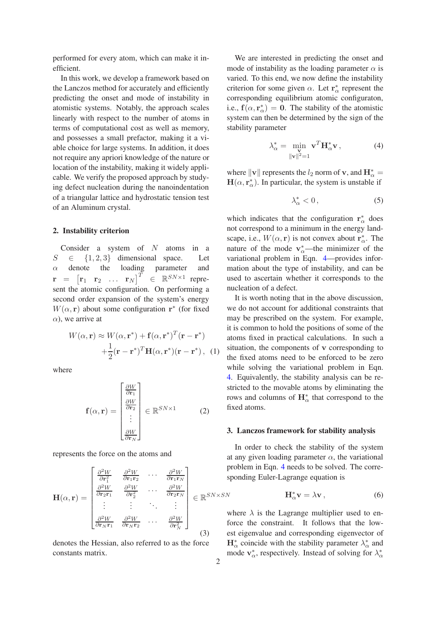performed for every atom, which can make it inefficient.

In this work, we develop a framework based on the Lanczos method for accurately and efficiently predicting the onset and mode of instability in atomistic systems. Notably, the approach scales linearly with respect to the number of atoms in terms of computational cost as well as memory, and possesses a small prefactor, making it a viable choice for large systems. In addition, it does not require any apriori knowledge of the nature or location of the instability, making it widely applicable. We verify the proposed approach by studying defect nucleation during the nanoindentation of a triangular lattice and hydrostatic tension test of an Aluminum crystal.

## 2. Instability criterion

Consider a system of  $N$  atoms in a  $S \in \{1, 2, 3\}$  dimensional space. Let  $\alpha$  denote the loading parameter and  $\mathbf{r}$  =  $\begin{bmatrix} \mathbf{r}_1 & \mathbf{r}_2 & \dots & \mathbf{r}_N \end{bmatrix}^T$  $\in \mathbb{R}^{SN \times 1}$  represent the atomic configuration. On performing a second order expansion of the system's energy  $W(\alpha, \mathbf{r})$  about some configuration  $\mathbf{r}^*$  (for fixed  $\alpha$ ), we arrive at

$$
W(\alpha, \mathbf{r}) \approx W(\alpha, \mathbf{r}^*) + \mathbf{f}(\alpha, \mathbf{r}^*)^T(\mathbf{r} - \mathbf{r}^*)
$$
  
+ 
$$
\frac{1}{2}(\mathbf{r} - \mathbf{r}^*)^T \mathbf{H}(\alpha, \mathbf{r}^*)(\mathbf{r} - \mathbf{r}^*) , \quad (1)
$$

where

$$
\mathbf{f}(\alpha, \mathbf{r}) = \begin{bmatrix} \frac{\partial W}{\partial \mathbf{r}_1} \\ \frac{\partial W}{\partial \mathbf{r}_2} \\ \vdots \\ \frac{\partial W}{\partial \mathbf{r}_N} \end{bmatrix} \in \mathbb{R}^{SN \times 1}
$$
 (2)

represents the force on the atoms and

$$
\mathbf{H}(\alpha, \mathbf{r}) = \begin{bmatrix} \frac{\partial^2 W}{\partial \mathbf{r}_1^2} & \frac{\partial^2 W}{\partial \mathbf{r}_1 \mathbf{r}_2} & \cdots & \frac{\partial^2 W}{\partial \mathbf{r}_1 \mathbf{r}_N} \\ \frac{\partial^2 W}{\partial \mathbf{r}_2 \mathbf{r}_1} & \frac{\partial^2 W}{\partial \mathbf{r}_2^2} & \cdots & \frac{\partial^2 W}{\partial \mathbf{r}_2 \mathbf{r}_N} \\ \vdots & \vdots & \ddots & \vdots \\ \frac{\partial^2 W}{\partial \mathbf{r}_N \mathbf{r}_1} & \frac{\partial^2 W}{\partial \mathbf{r}_N \mathbf{r}_2} & \cdots & \frac{\partial^2 W}{\partial \mathbf{r}_N^2} \end{bmatrix} \in \mathbb{R}^{SN \times SN}
$$

denotes the Hessian, also referred to as the force constants matrix.

We are interested in predicting the onset and mode of instability as the loading parameter  $\alpha$  is varied. To this end, we now define the instability criterion for some given  $\alpha$ . Let  $\mathbf{r}_{\alpha}^{*}$  represent the corresponding equilibrium atomic configuraton, i.e.,  $f(\alpha, r^*_{\alpha}) = 0$ . The stability of the atomistic system can then be determined by the sign of the stability parameter

$$
\lambda_{\alpha}^* = \min_{\substack{\mathbf{V} \\ \|\mathbf{V}\|^2 = 1}} \mathbf{v}^T \mathbf{H}_{\alpha}^* \mathbf{v},\tag{4}
$$

where  $\|\mathbf{v}\|$  represents the  $l_2$  norm of **v**, and  $\mathbf{H}_{\alpha}^* =$  $H(\alpha, r^*_{\alpha})$ . In particular, the system is unstable if

$$
\lambda^*_{\alpha} < 0 \tag{5}
$$

which indicates that the configuration  $\mathbf{r}_{\alpha}^{*}$  does not correspond to a minimum in the energy landscape, i.e.,  $W(\alpha, \mathbf{r})$  is not convex about  $\mathbf{r}_{\alpha}^*$ . The nature of the mode  $v^*_{\alpha}$ —the minimizer of the variational problem in Eqn. 4—provides information about the type of instability, and can be used to ascertain whether it corresponds to the nucleation of a defect.

It is worth noting that in the above discussion, we do not account for additional constraints that may be prescribed on the system. For example, it is common to hold the positions of some of the atoms fixed in practical calculations. In such a situation, the components of v corresponding to the fixed atoms need to be enforced to be zero while solving the variational problem in Eqn. 4. Equivalently, the stability analysis can be restricted to the movable atoms by eliminating the rows and columns of  $\mathbf{H}_{\alpha}^*$  that correspond to the fixed atoms.

### 3. Lanczos framework for stability analysis

In order to check the stability of the system at any given loading parameter  $\alpha$ , the variational problem in Eqn. 4 needs to be solved. The corresponding Euler-Lagrange equation is

$$
\mathbf{H}_{\alpha}^* \mathbf{v} = \lambda \mathbf{v} \,, \tag{6}
$$

where  $\lambda$  is the Lagrange multiplier used to enforce the constraint. It follows that the lowest eigenvalue and corresponding eigenvector of  $\mathbf{H}_{\alpha}^{*}$  coincide with the stability parameter  $\lambda_{\alpha}^{*}$  and mode  $\mathbf{v}_{\alpha}^*$ , respectively. Instead of solving for  $\lambda_{\alpha}^*$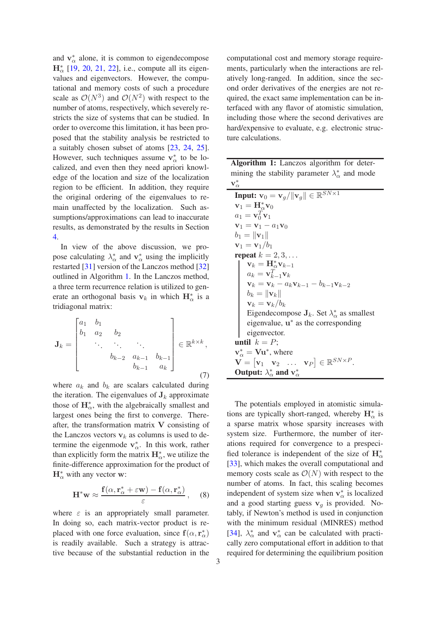and  $v^*_{\alpha}$  alone, it is common to eigendecompose  $H_{\alpha}^{*}$  [19, 20, 21, 22], i.e., compute all its eigenvalues and eigenvectors. However, the computational and memory costs of such a procedure scale as  $\mathcal{O}(N^3)$  and  $\mathcal{O}(N^2)$  with respect to the number of atoms, respectively, which severely restricts the size of systems that can be studied. In order to overcome this limitation, it has been proposed that the stability analysis be restricted to a suitably chosen subset of atoms [23, 24, 25]. However, such techniques assume  $v^*_{\alpha}$  to be localized, and even then they need apriori knowledge of the location and size of the localization region to be efficient. In addition, they require the original ordering of the eigenvalues to remain unaffected by the localization. Such assumptions/approximations can lead to inaccurate results, as demonstrated by the results in Section 4.

In view of the above discussion, we propose calculating  $\lambda_{\alpha}^*$  and  $\mathbf{v}_{\alpha}^*$  using the implicitly restarted [31] version of the Lanczos method [32] outlined in Algorithm 1. In the Lanczos method, a three term recurrence relation is utilized to generate an orthogonal basis  $v_k$  in which  $H^*_{\alpha}$  is a tridiagonal matrix:

$$
\mathbf{J}_{k} = \begin{bmatrix} a_{1} & b_{1} & & & \\ b_{1} & a_{2} & b_{2} & & \\ & \ddots & \ddots & \ddots & \\ & & b_{k-2} & a_{k-1} & b_{k-1} \\ & & & b_{k-1} & a_{k} \end{bmatrix} \in \mathbb{R}^{k \times k},
$$
\n(7)

where  $a_k$  and  $b_k$  are scalars calculated during the iteration. The eigenvalues of  $J_k$  approximate those of  $\mathbf{H}_{\alpha}^{*}$ , with the algebraically smallest and largest ones being the first to converge. Thereafter, the transformation matrix  $V$  consisting of the Lanczos vectors  $v_k$  as columns is used to determine the eigenmode  $v^*_{\alpha}$ . In this work, rather than explicitly form the matrix  $\mathbf{H}_{\alpha}^{*}$ , we utilize the finite-difference approximation for the product of  $\mathbf{H}_{\alpha}^*$  with any vector w:

$$
\mathbf{H}^* \mathbf{w} \approx \frac{\mathbf{f}(\alpha, \mathbf{r}_\alpha^* + \varepsilon \mathbf{w}) - \mathbf{f}(\alpha, \mathbf{r}_\alpha^*)}{\varepsilon}, \quad (8)
$$

where  $\varepsilon$  is an appropriately small parameter. In doing so, each matrix-vector product is replaced with one force evaluation, since  $f(\alpha, r^*_{\alpha})$ is readily available. Such a strategy is attractive because of the substantial reduction in the computational cost and memory storage requirements, particularly when the interactions are relatively long-ranged. In addition, since the second order derivatives of the energies are not required, the exact same implementation can be interfaced with any flavor of atomistic simulation, including those where the second derivatives are hard/expensive to evaluate, e.g. electronic structure calculations.

| Algorithm 1: Lanczos algorithm for deter-                      |  |  |  |
|----------------------------------------------------------------|--|--|--|
| mining the stability parameter $\lambda_{\alpha}^{*}$ and mode |  |  |  |
| $\mathbf{v}^*_\alpha$                                          |  |  |  |

| <b>Input:</b> $\mathbf{v}_0 = \mathbf{v}_g /   \mathbf{v}_g   \in \mathbb{R}^{\overline{SN} \times 1}$        |
|---------------------------------------------------------------------------------------------------------------|
| $\mathbf{v}_1 = \mathbf{H}_\alpha^* \mathbf{v}_0$                                                             |
| $a_1 = \mathbf{v}_0^T \mathbf{v}_1$                                                                           |
| ${\bf v}_1={\bf v}_1-a_1{\bf v}_0$                                                                            |
| $b_1 =   \mathbf{v}_1  $                                                                                      |
| ${\bf v}_1={\bf v}_1/b_1$                                                                                     |
| repeat $k = 2, 3, \ldots$                                                                                     |
| $\mathbf{v}_k = \mathbf{H}_\alpha^* \mathbf{v}_{k-1}$                                                         |
| $a_k = \mathbf{v}_{k-1}^T \mathbf{v}_k$                                                                       |
| ${\bf v}_k={\bf v}_k-a_k{\bf v}_{k-1}-b_{k-1}{\bf v}_{k-2}$                                                   |
| $b_k =   \mathbf{v}_k  $                                                                                      |
| $\mathbf{v}_k = \mathbf{v}_k/b_k$                                                                             |
| Eigendecompose $J_k$ . Set $\lambda_{\alpha}^*$ as smallest                                                   |
| eigenvalue, $\mathbf{u}^*$ as the corresponding                                                               |
| eigenvector.                                                                                                  |
| until $k = P$ ;                                                                                               |
| $v^*_{\alpha} = Vu^*$ , where                                                                                 |
| $\mathbf{V} = [\mathbf{v}_1 \quad \mathbf{v}_2 \quad \dots \quad \mathbf{v}_P] \in \mathbb{R}^{SN \times P}.$ |
| Output: $\lambda^*_{\alpha}$ and $v^*_{\alpha}$                                                               |

The potentials employed in atomistic simulations are typically short-ranged, whereby  $\mathbf{H}_{\alpha}^{*}$  is a sparse matrix whose sparsity increases with system size. Furthermore, the number of iterations required for convergence to a prespecified tolerance is independent of the size of  $\mathbf{H}^*_{\alpha}$ [33], which makes the overall computational and memory costs scale as  $\mathcal{O}(N)$  with respect to the number of atoms. In fact, this scaling becomes independent of system size when  $\mathbf{v}_{\alpha}^*$  is localized and a good starting guess  $v_q$  is provided. Notably, if Newton's method is used in conjunction with the minimum residual (MINRES) method [34],  $\lambda_{\alpha}^{*}$  and  $\mathbf{v}_{\alpha}^{*}$  can be calculated with practically zero computational effort in addition to that required for determining the equilibrium position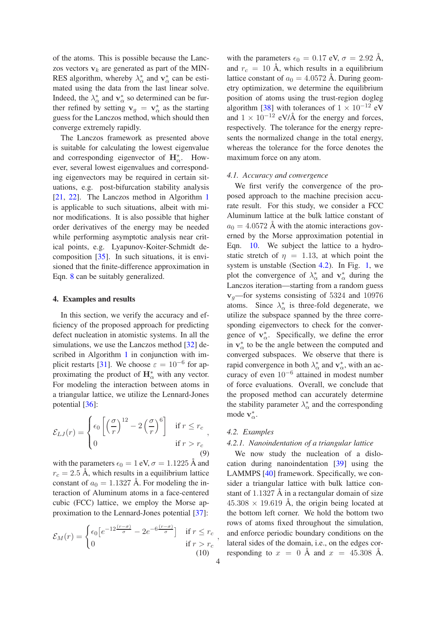of the atoms. This is possible because the Lanczos vectors  $v_k$  are generated as part of the MIN-RES algorithm, whereby  $\lambda_{\alpha}^*$  and  $\mathbf{v}_{\alpha}^*$  can be estimated using the data from the last linear solve. Indeed, the  $\lambda_{\alpha}^*$  and  $\mathbf{v}_{\alpha}^*$  so determined can be further refined by setting  $v_g = v^*_{\alpha}$  as the starting guess for the Lanczos method, which should then converge extremely rapidly.

The Lanczos framework as presented above is suitable for calculating the lowest eigenvalue and corresponding eigenvector of  $\mathbf{H}_{\alpha}^*$ . However, several lowest eigenvalues and corresponding eigenvectors may be required in certain situations, e.g. post-bifurcation stability analysis [21, 22]. The Lanczos method in Algorithm 1 is applicable to such situations, albeit with minor modifications. It is also possible that higher order derivatives of the energy may be needed while performing asymptotic analysis near critical points, e.g. Lyapunov-Koiter-Schmidt decomposition [35]. In such situations, it is envisioned that the finite-difference approximation in Eqn. 8 can be suitably generalized.

#### 4. Examples and results

In this section, we verify the accuracy and efficiency of the proposed approach for predicting defect nucleation in atomistic systems. In all the simulations, we use the Lanczos method [32] described in Algorithm 1 in conjunction with implicit restarts [31]. We choose  $\varepsilon = 10^{-6}$  for approximating the product of  $\mathbf{H}^*_{\alpha}$  with any vector. For modeling the interaction between atoms in a triangular lattice, we utilize the Lennard-Jones potential [36]:

$$
\mathcal{E}_{LJ}(r) = \begin{cases} \epsilon_0 \left[ \left( \frac{\sigma}{r} \right)^{12} - 2 \left( \frac{\sigma}{r} \right)^6 \right] & \text{if } r \le r_c \\ 0 & \text{if } r > r_c \end{cases}
$$
\n
$$
(9)
$$

with the parameters  $\epsilon_0 = 1$  eV,  $\sigma = 1.1225$  Å and  $r_c = 2.5$  Å, which results in a equilibrium lattice constant of  $a_0 = 1.1327$  Å. For modeling the interaction of Aluminum atoms in a face-centered cubic (FCC) lattice, we employ the Morse approximation to the Lennard-Jones potential [37]:

$$
\mathcal{E}_M(r) = \begin{cases} \epsilon_0 \left[ e^{-12\frac{(r-\sigma)}{\sigma}} - 2e^{-6\frac{(r-\sigma)}{\sigma}} \right] & \text{if } r \le r_c \\ 0 & \text{if } r > r_c \end{cases}
$$
(10)

with the parameters  $\epsilon_0 = 0.17$  eV,  $\sigma = 2.92$  Å, and  $r_c = 10 \text{ Å}$ , which results in a equilibrium lattice constant of  $a_0 = 4.0572$  Å. During geometry optimization, we determine the equilibrium position of atoms using the trust-region dogleg algorithm [38] with tolerances of  $1 \times 10^{-12}$  eV and  $1 \times 10^{-12}$  eV/Å for the energy and forces, respectively. The tolerance for the energy represents the normalized change in the total energy, whereas the tolerance for the force denotes the maximum force on any atom.

#### *4.1. Accuracy and convergence*

We first verify the convergence of the proposed approach to the machine precision accurate result. For this study, we consider a FCC Aluminum lattice at the bulk lattice constant of  $a_0 = 4.0572$  Å with the atomic interactions governed by the Morse approximation potential in Eqn. 10. We subject the lattice to a hydrostatic stretch of  $\eta = 1.13$ , at which point the system is unstable (Section 4.2). In Fig. 1, we plot the convergence of  $\lambda_{\alpha}^*$  and  $\mathbf{v}_{\alpha}^*$  during the Lanczos iteration—starting from a random guess  $v<sub>q</sub>$ —for systems consisting of 5324 and 10976 atoms. Since  $\lambda_{\alpha}^*$  is three-fold degenerate, we utilize the subspace spanned by the three corresponding eigenvectors to check for the convergence of  $v^*_{\alpha}$ . Specifically, we define the error in  $v^*_{\alpha}$  to be the angle between the computed and converged subspaces. We observe that there is rapid convergence in both  $\lambda_{\alpha}^*$  and  $\mathbf{v}_{\alpha}^*$ , with an accuracy of even 10−<sup>6</sup> attained in modest number of force evaluations. Overall, we conclude that the proposed method can accurately determine the stability parameter  $\lambda_{\alpha}^{*}$  and the corresponding mode  $v^*_{\alpha}$ .

## *4.2. Examples*

## *4.2.1. Nanoindentation of a triangular lattice*

We now study the nucleation of a dislocation during nanoindentation [39] using the LAMMPS [40] framework. Specifically, we consider a triangular lattice with bulk lattice constant of 1.1327 Å in a rectangular domain of size  $45.308 \times 19.619$  Å, the origin being located at the bottom left corner. We hold the bottom two rows of atoms fixed throughout the simulation, and enforce periodic boundary conditions on the lateral sides of the domain, i.e., on the edges corresponding to  $x = 0$  Å and  $x = 45.308$  Å.

,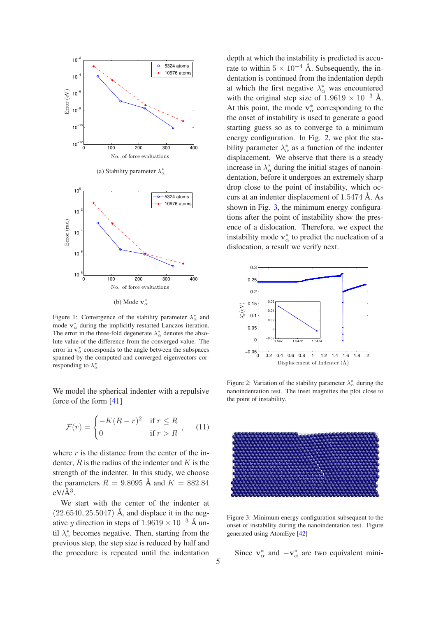

(b) Mode  $v^*_{\alpha}$ 

Figure 1: Convergence of the stability parameter  $\lambda^*_{\alpha}$  and mode  $\mathbf{v}_{\alpha}^{*}$  during the implicitly restarted Lanczos iteration. The error in the three-fold degenerate  $\lambda_{\alpha}^{*}$  denotes the absolute value of the difference from the converged value. The error in  $v^*_{\alpha}$  corresponds to the angle between the subspaces spanned by the computed and converged eigenvectors corresponding to  $\lambda_{\alpha}^*$ .

We model the spherical indenter with a repulsive force of the form [41]

$$
\mathcal{F}(r) = \begin{cases}\n-K(R-r)^2 & \text{if } r \le R \\
0 & \text{if } r > R\n\end{cases},\n\tag{11}
$$

where  $r$  is the distance from the center of the indenter,  $R$  is the radius of the indenter and  $K$  is the strength of the indenter. In this study, we choose the parameters  $R = 9.8095 \text{ Å}$  and  $K = 882.84$  $eV\hat{A}^3$ .

We start with the center of the indenter at  $(22.6540, 25.5047)$  Å, and displace it in the negative y direction in steps of  $1.9619 \times 10^{-3}$  Å until  $\lambda_{\alpha}^{*}$  becomes negative. Then, starting from the previous step, the step size is reduced by half and the procedure is repeated until the indentation

depth at which the instability is predicted is accurate to within  $5 \times 10^{-4}$  Å. Subsequently, the indentation is continued from the indentation depth at which the first negative  $\lambda_{\alpha}^{*}$  was encountered with the original step size of  $1.9619 \times 10^{-3}$  Å. At this point, the mode  $v^*_{\alpha}$  corresponding to the the onset of instability is used to generate a good starting guess so as to converge to a minimum energy configuration. In Fig. 2, we plot the stability parameter  $\lambda_{\alpha}^{*}$  as a function of the indenter displacement. We observe that there is a steady increase in  $\lambda_{\alpha}^*$  during the initial stages of nanoindentation, before it undergoes an extremely sharp drop close to the point of instability, which occurs at an indenter displacement of 1.5474 Å. As shown in Fig. 3, the minimum energy configurations after the point of instability show the presence of a dislocation. Therefore, we expect the instability mode  $v^*_{\alpha}$  to predict the nucleation of a dislocation, a result we verify next.



Figure 2: Variation of the stability parameter  $\lambda_{\alpha}^{*}$  during the nanoindentation test. The inset magnifies the plot close to the point of instability.



Figure 3: Minimum energy configuration subsequent to the onset of instability during the nanoindentation test. Figure generated using AtomEye [42]

Since  $v^*_{\alpha}$  and  $-v^*_{\alpha}$  are two equivalent mini-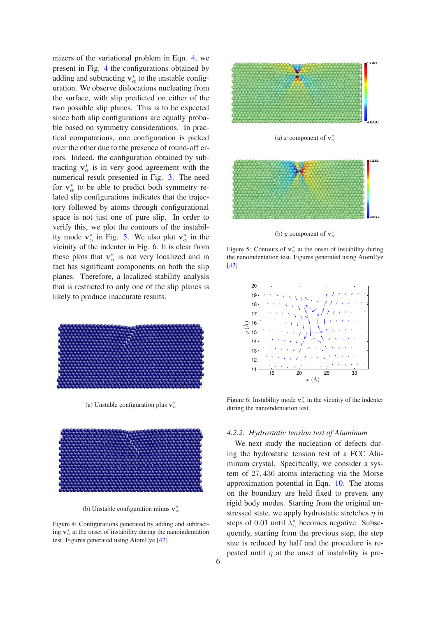mizers of the variational problem in Eqn. 4, we present in Fig. 4 the configurations obtained by adding and subtracting  $v^*_{\alpha}$  to the unstable configuration. We observe dislocations nucleating from the surface, with slip predicted on either of the two possible slip planes. This is to be expected since both slip configurations are equally probable based on symmetry considerations. In practical computations, one configuration is picked over the other due to the presence of round-off errors. Indeed, the configuration obtained by subtracting  $v^*_{\alpha}$  is in very good agreement with the numerical result presented in Fig. 3. The need for  $v^*_{\alpha}$  to be able to predict both symmetry related slip configurations indicates that the trajectory followed by atoms through configurational space is not just one of pure slip. In order to verify this, we plot the contours of the instability mode  $v^*_{\alpha}$  in Fig. 5. We also plot  $v^*_{\alpha}$  in the vicinity of the indenter in Fig. 6. It is clear from these plots that  $v^*_{\alpha}$  is not very localized and in fact has significant components on both the slip planes. Therefore, a localized stability analysis that is restricted to only one of the slip planes is likely to produce inaccurate results.



(a) Unstable configuration plus  $v^*_{\alpha}$ 



(b) Unstable configuration minus  $v^*_{\alpha}$ 

Figure 4: Configurations generated by adding and subtracting  $v^*_{\alpha}$  at the onset of instability during the nanoindentation test. Figures generated using AtomEye [42]



(a) x component of  $\mathbf{v}_{\alpha}^*$ 



(b) y component of  $\mathbf{v}_{\alpha}^*$ 

Figure 5: Contours of  $v^*_{\alpha}$  at the onset of instability during the nanoindentation test. Figures generated using AtomEye [42]



Figure 6: Instability mode  $v^*_{\alpha}$  in the vicinity of the indenter during the nanoindentation test.

#### *4.2.2. Hydrostatic tension test of Aluminum*

We next study the nucleation of defects during the hydrostatic tension test of a FCC Aluminum crystal. Specifically, we consider a system of 27, 436 atoms interacting via the Morse approximation potential in Eqn. 10. The atoms on the boundary are held fixed to prevent any rigid body modes. Starting from the original unstressed state, we apply hydrostatic stretches  $\eta$  in steps of 0.01 until  $\lambda_{\alpha}^{*}$  becomes negative. Subsequently, starting from the previous step, the step size is reduced by half and the procedure is repeated until  $\eta$  at the onset of instability is pre-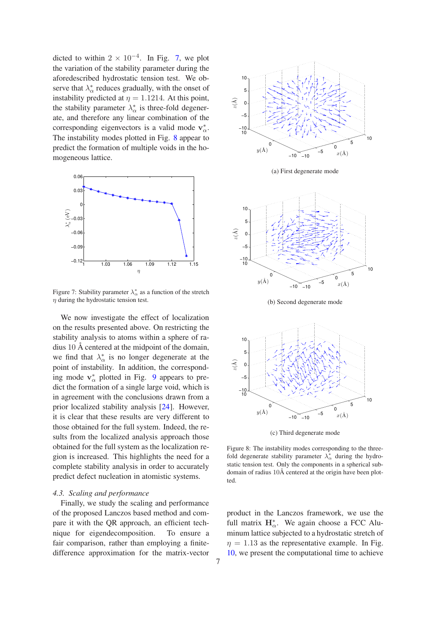dicted to within  $2 \times 10^{-4}$ . In Fig. 7, we plot the variation of the stability parameter during the aforedescribed hydrostatic tension test. We observe that  $\lambda_{\alpha}^{*}$  reduces gradually, with the onset of instability predicted at  $\eta = 1.1214$ . At this point, the stability parameter  $\lambda_{\alpha}^*$  is three-fold degenerate, and therefore any linear combination of the corresponding eigenvectors is a valid mode  $v^*_{\alpha}$ . The instability modes plotted in Fig. 8 appear to predict the formation of multiple voids in the homogeneous lattice.



Figure 7: Stability parameter  $\lambda_{\alpha}^{*}$  as a function of the stretch  $\eta$  during the hydrostatic tension test.

We now investigate the effect of localization on the results presented above. On restricting the stability analysis to atoms within a sphere of radius 10 Å centered at the midpoint of the domain, we find that  $\lambda_{\alpha}^{*}$  is no longer degenerate at the point of instability. In addition, the corresponding mode  $v^*_{\alpha}$  plotted in Fig. 9 appears to predict the formation of a single large void, which is in agreement with the conclusions drawn from a prior localized stability analysis [24]. However, it is clear that these results are very different to those obtained for the full system. Indeed, the results from the localized analysis approach those obtained for the full system as the localization region is increased. This highlights the need for a complete stability analysis in order to accurately predict defect nucleation in atomistic systems.

## *4.3. Scaling and performance*

Finally, we study the scaling and performance of the proposed Lanczos based method and compare it with the QR approach, an efficient technique for eigendecomposition. To ensure a fair comparison, rather than employing a finitedifference approximation for the matrix-vector



(a) First degenerate mode



(b) Second degenerate mode



(c) Third degenerate mode

Figure 8: The instability modes corresponding to the threefold degenerate stability parameter  $\lambda_{\alpha}^{*}$  during the hydrostatic tension test. Only the components in a spherical subdomain of radius 10Å centered at the origin have been plotted.

product in the Lanczos framework, we use the full matrix  $\mathbf{H}_{\alpha}^*$ . We again choose a FCC Aluminum lattice subjected to a hydrostatic stretch of  $\eta = 1.13$  as the representative example. In Fig. 10, we present the computational time to achieve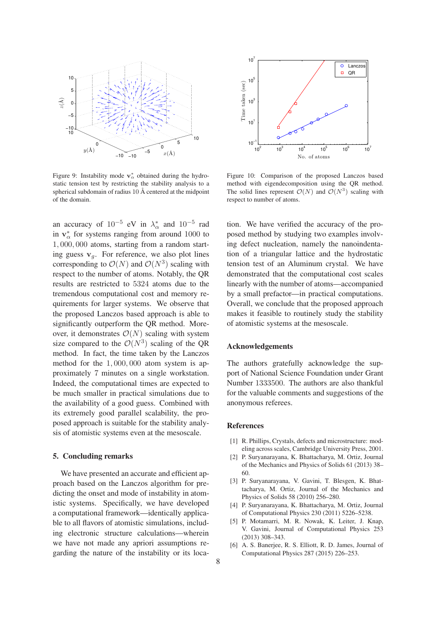

Figure 9: Instability mode  $v^*_{\alpha}$  obtained during the hydrostatic tension test by restricting the stability analysis to a spherical subdomain of radius 10 Å centered at the midpoint of the domain.

an accuracy of  $10^{-5}$  eV in  $\lambda_{\alpha}^{*}$  and  $10^{-5}$  rad in  $v^*_{\alpha}$  for systems ranging from around 1000 to 1, 000, 000 atoms, starting from a random starting guess  $v_a$ . For reference, we also plot lines corresponding to  $\mathcal{O}(N)$  and  $\mathcal{O}(N^3)$  scaling with respect to the number of atoms. Notably, the QR results are restricted to 5324 atoms due to the tremendous computational cost and memory requirements for larger systems. We observe that the proposed Lanczos based approach is able to significantly outperform the QR method. Moreover, it demonstrates  $\mathcal{O}(N)$  scaling with system size compared to the  $\mathcal{O}(N^3)$  scaling of the QR method. In fact, the time taken by the Lanczos method for the 1, 000, 000 atom system is approximately 7 minutes on a single workstation. Indeed, the computational times are expected to be much smaller in practical simulations due to the availability of a good guess. Combined with its extremely good parallel scalability, the proposed approach is suitable for the stability analysis of atomistic systems even at the mesoscale.

## 5. Concluding remarks

We have presented an accurate and efficient approach based on the Lanczos algorithm for predicting the onset and mode of instability in atomistic systems. Specifically, we have developed a computational framework—identically applicable to all flavors of atomistic simulations, including electronic structure calculations—wherein we have not made any apriori assumptions regarding the nature of the instability or its loca-



Figure 10: Comparison of the proposed Lanczos based method with eigendecomposition using the QR method. The solid lines represent  $\mathcal{O}(N)$  and  $\mathcal{O}(N^3)$  scaling with respect to number of atoms.

tion. We have verified the accuracy of the proposed method by studying two examples involving defect nucleation, namely the nanoindentation of a triangular lattice and the hydrostatic tension test of an Aluminum crystal. We have demonstrated that the computational cost scales linearly with the number of atoms—accompanied by a small prefactor—in practical computations. Overall, we conclude that the proposed approach makes it feasible to routinely study the stability of atomistic systems at the mesoscale.

## Acknowledgements

The authors gratefully acknowledge the support of National Science Foundation under Grant Number 1333500. The authors are also thankful for the valuable comments and suggestions of the anonymous referees.

### References

- [1] R. Phillips, Crystals, defects and microstructure: modeling across scales, Cambridge University Press, 2001.
- [2] P. Suryanarayana, K. Bhattacharya, M. Ortiz, Journal of the Mechanics and Physics of Solids 61 (2013) 38– 60.
- [3] P. Suryanarayana, V. Gavini, T. Blesgen, K. Bhattacharya, M. Ortiz, Journal of the Mechanics and Physics of Solids 58 (2010) 256–280.
- [4] P. Suryanarayana, K. Bhattacharya, M. Ortiz, Journal of Computational Physics 230 (2011) 5226–5238.
- [5] P. Motamarri, M. R. Nowak, K. Leiter, J. Knap, V. Gavini, Journal of Computational Physics 253 (2013) 308–343.
- [6] A. S. Banerjee, R. S. Elliott, R. D. James, Journal of Computational Physics 287 (2015) 226–253.